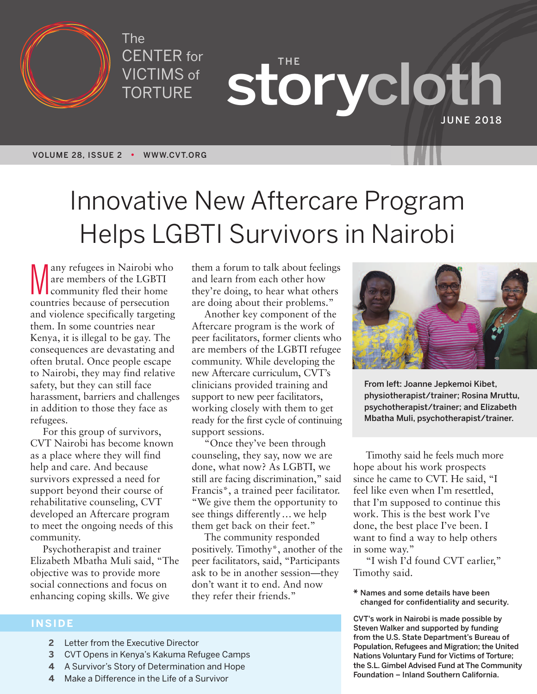

The CENTER for VICTIMS of TORTURE

**THE storycloth JUNE 2018**

# Innovative New Aftercare Program Helps LGBTI Survivors in Nairobi

Many refugees in Nairobi who<br>are members of the LGBTI<br>community fled their home<br>countries because of persecution any refugees in Nairobi who are members of the LGBTI community fled their home and violence specifically targeting them. In some countries near Kenya, it is illegal to be gay. The consequences are devastating and often brutal. Once people escape to Nairobi, they may find relative safety, but they can still face harassment, barriers and challenges in addition to those they face as refugees.

For this group of survivors, CVT Nairobi has become known as a place where they will find help and care. And because survivors expressed a need for support beyond their course of rehabilitative counseling, CVT developed an Aftercare program to meet the ongoing needs of this community.

Psychotherapist and trainer Elizabeth Mbatha Muli said, "The objective was to provide more social connections and focus on enhancing coping skills. We give

them a forum to talk about feelings and learn from each other how they're doing, to hear what others are doing about their problems."

Another key component of the Aftercare program is the work of peer facilitators, former clients who are members of the LGBTI refugee community. While developing the new Aftercare curriculum, CVT's clinicians provided training and support to new peer facilitators, working closely with them to get ready for the first cycle of continuing support sessions.

"Once they've been through counseling, they say, now we are done, what now? As LGBTI, we still are facing discrimination," said Francis\*, a trained peer facilitator. "We give them the opportunity to see things differently… we help them get back on their feet."

The community responded positively. Timothy\*, another of the peer facilitators, said, "Participants ask to be in another session—they don't want it to end. And now they refer their friends."



**From left: Joanne Jepkemoi Kibet, physiotherapist/trainer; Rosina Mruttu, psychotherapist/trainer; and Elizabeth Mbatha Muli, psychotherapist/trainer.**

Timothy said he feels much more hope about his work prospects since he came to CVT. He said, "I feel like even when I'm resettled, that I'm supposed to continue this work. This is the best work I've done, the best place I've been. I want to find a way to help others in some way."

"I wish I'd found CVT earlier," Timothy said.

**\* Names and some details have been changed for confidentiality and security.**

**CVT's work in Nairobi is made possible by Steven Walker and supported by funding from the U.S. State Department's Bureau of Population, Refugees and Migration; the United Nations Voluntary Fund for Victims of Torture; the S.L. Gimbel Advised Fund at The Community Foundation – Inland Southern California.**

### **INSIDE**

- **2** Letter from the Executive Director
- **3** CVT Opens in Kenya's Kakuma Refugee Camps
- **4** A Survivor's Story of Determination and Hope
- **4** Make a Difference in the Life of a Survivor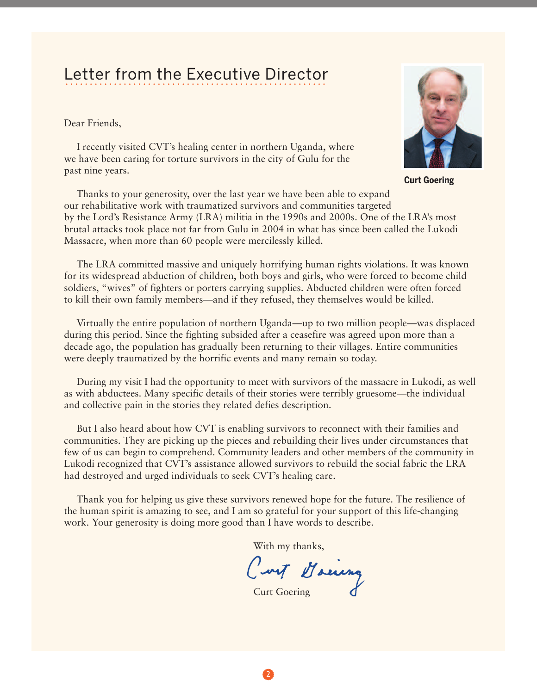### Letter from the Executive Director LULLUI TIUITI LIIU LAUUULIVU DIIUULUI

Dear Friends,

I recently visited CVT's healing center in northern Uganda, where we have been caring for torture survivors in the city of Gulu for the past nine years.

Thanks to your generosity, over the last year we have been able to expand our rehabilitative work with traumatized survivors and communities targeted by the Lord's Resistance Army (LRA) militia in the 1990s and 2000s. One of the LRA's most brutal attacks took place not far from Gulu in 2004 in what has since been called the Lukodi Massacre, when more than 60 people were mercilessly killed.

The LRA committed massive and uniquely horrifying human rights violations. It was known for its widespread abduction of children, both boys and girls, who were forced to become child soldiers, "wives" of fighters or porters carrying supplies. Abducted children were often forced to kill their own family members—and if they refused, they themselves would be killed.

Virtually the entire population of northern Uganda—up to two million people—was displaced during this period. Since the fighting subsided after a ceasefire was agreed upon more than a decade ago, the population has gradually been returning to their villages. Entire communities were deeply traumatized by the horrific events and many remain so today.

During my visit I had the opportunity to meet with survivors of the massacre in Lukodi, as well as with abductees. Many specific details of their stories were terribly gruesome—the individual and collective pain in the stories they related defies description.

But I also heard about how CVT is enabling survivors to reconnect with their families and communities. They are picking up the pieces and rebuilding their lives under circumstances that few of us can begin to comprehend. Community leaders and other members of the community in Lukodi recognized that CVT's assistance allowed survivors to rebuild the social fabric the LRA had destroyed and urged individuals to seek CVT's healing care.

Thank you for helping us give these survivors renewed hope for the future. The resilience of the human spirit is amazing to see, and I am so grateful for your support of this life-changing work. Your generosity is doing more good than I have words to describe.

With my thanks,<br>Cart Houring

Curt Goering



**Curt Goering**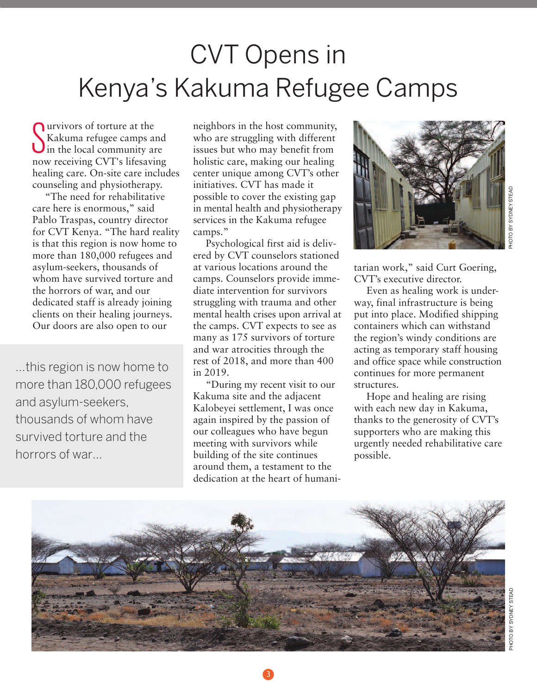## CVT Opens in Kenya ' s Kakuma Refugee Camps

S in the local community are urvivors of torture at the Kakuma refugee camps and now receiving CVT's lifesaving healing care. On-site care includes counseling and physiotherapy.

"The need for rehabilitative care here is enormous," said Pablo Traspas, country director for CVT Kenya. "The hard reality is that this region is now home to more than 180,000 refugees and asylum-seekers, thousands of whom have survived torture and the horrors of war, and our dedicated staff is already joining clients on their healing journeys. Our doors are also open to our

...this region is now home to more than 180,000 refugees and asylum-seekers, thousands of whom have survived torture and the horrors of war...

neighbors in the host community, who are struggling with different issues but who may benefit from holistic care, making our healing center unique among CVT's other initiatives. CVT has made it possible to cover the existing gap in mental health and physiotherapy services in the Kakuma refugee camps."

Psychological first aid is delivered by CVT counselors stationed at various locations around the camps. Counselors provide immediate intervention for survivors struggling with trauma and other mental health crises upon arrival at the camps. CVT expects to see as many as 175 survivors of torture and war atrocities through the rest of 2018, and more than 400 in 2019.

"During my recent visit to our Kakuma site and the adjacent Kalobeyei settlement, I was once again inspired by the passion of our colleagues who have begun meeting with survivors while building of the site continues around them, a testament to the dedication at the heart of humani-



tarian work," said Curt Goering, CVT's executive director.

Even as healing work is underway, final infrastructure is being put into place. Modified shipping containers which can withstand the region's windy conditions are acting as temporary staff housing and office space while construction continues for more permanent structures.

Hope and healing are rising with each new day in Kakuma, thanks to the generosity of CVT's supporters who are making this urgently needed rehabilitative care possible.



3